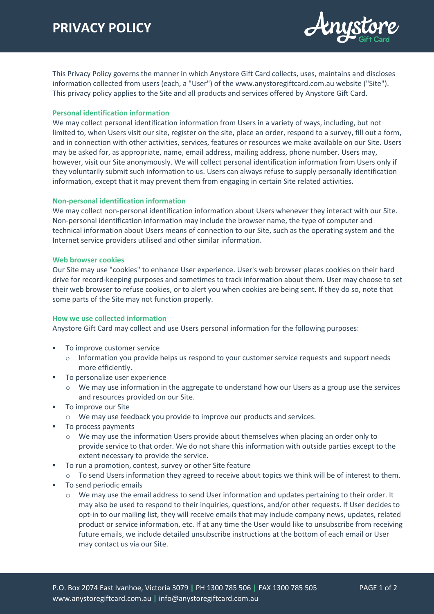

This Privacy Policy governs the manner in which Anystore Gift Card collects, uses, maintains and discloses information collected from users (each, a "User") of the www.anystoregiftcard.com.au website ("Site"). This privacy policy applies to the Site and all products and services offered by Anystore Gift Card.

# **Personal identification information**

We may collect personal identification information from Users in a variety of ways, including, but not limited to, when Users visit our site, register on the site, place an order, respond to a survey, fill out a form, and in connection with other activities, services, features or resources we make available on our Site. Users may be asked for, as appropriate, name, email address, mailing address, phone number. Users may, however, visit our Site anonymously. We will collect personal identification information from Users only if they voluntarily submit such information to us. Users can always refuse to supply personally identification information, except that it may prevent them from engaging in certain Site related activities.

#### **Non-personal identification information**

We may collect non-personal identification information about Users whenever they interact with our Site. Non-personal identification information may include the browser name, the type of computer and technical information about Users means of connection to our Site, such as the operating system and the Internet service providers utilised and other similar information.

#### **Web browser cookies**

Our Site may use "cookies" to enhance User experience. User's web browser places cookies on their hard drive for record-keeping purposes and sometimes to track information about them. User may choose to set their web browser to refuse cookies, or to alert you when cookies are being sent. If they do so, note that some parts of the Site may not function properly.

# **How we use collected information**

Anystore Gift Card may collect and use Users personal information for the following purposes:

- To improve customer service
	- $\circ$  Information you provide helps us respond to your customer service requests and support needs more efficiently.
- **To personalize user experience** 
	- o We may use information in the aggregate to understand how our Users as a group use the services and resources provided on our Site.
- **To improve our Site** 
	- o We may use feedback you provide to improve our products and services.
- To process payments
	- o We may use the information Users provide about themselves when placing an order only to provide service to that order. We do not share this information with outside parties except to the extent necessary to provide the service.
- To run a promotion, contest, survey or other Site feature
	- $\circ$  To send Users information they agreed to receive about topics we think will be of interest to them.
- To send periodic emails
	- $\circ$  We may use the email address to send User information and updates pertaining to their order. It may also be used to respond to their inquiries, questions, and/or other requests. If User decides to opt-in to our mailing list, they will receive emails that may include company news, updates, related product or service information, etc. If at any time the User would like to unsubscribe from receiving future emails, we include detailed unsubscribe instructions at the bottom of each email or User may contact us via our Site.